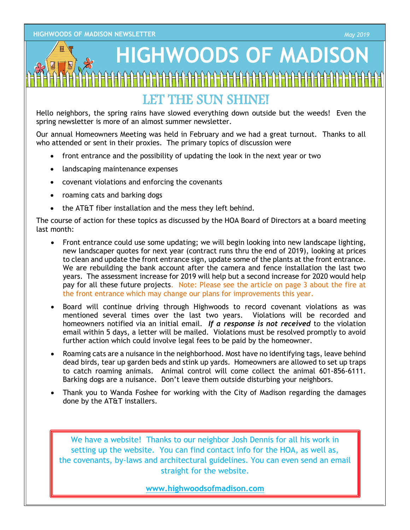### **HIGHWOODS OF MADISON**

#### LET THE SUN SHINE!

Hello neighbors, the spring rains have slowed everything down outside but the weeds! Even the spring newsletter is more of an almost summer newsletter.

Our annual Homeowners Meeting was held in February and we had a great turnout. Thanks to all who attended or sent in their proxies. The primary topics of discussion were

- front entrance and the possibility of updating the look in the next year or two
- landscaping maintenance expenses
- covenant violations and enforcing the covenants
- roaming cats and barking dogs
- the AT&T fiber installation and the mess they left behind.

The course of action for these topics as discussed by the HOA Board of Directors at a board meeting last month:

- Front entrance could use some updating; we will begin looking into new landscape lighting, new landscaper quotes for next year (contract runs thru the end of 2019), looking at prices to clean and update the front entrance sign, update some of the plants at the front entrance. We are rebuilding the bank account after the camera and fence installation the last two years. The assessment increase for 2019 will help but a second increase for 2020 would help pay for all these future projects. Note: Please see the article on page 3 about the fire at the front entrance which may change our plans for improvements this year.
- Board will continue driving through Highwoods to record covenant violations as was mentioned several times over the last two years. Violations will be recorded and homeowners notified via an initial email. *If a response is not received* to the violation email within 5 days, a letter will be mailed. Violations must be resolved promptly to avoid further action which could involve legal fees to be paid by the homeowner.
- Roaming cats are a nuisance in the neighborhood. Most have no identifying tags, leave behind dead birds, tear up garden beds and stink up yards. Homeowners are allowed to set up traps to catch roaming animals. Animal control will come collect the animal 601-856-6111. Barking dogs are a nuisance. Don't leave them outside disturbing your neighbors.
- Thank you to Wanda Foshee for working with the City of Madison regarding the damages done by the AT&T installers.

We have a website! Thanks to our neighbor Josh Dennis for all his work in setting up the website. You can find contact info for the HOA, as well as, the covenants, by-laws and architectural guidelines. You can even send an email straight for the website.

**www.highwoodsofmadison.com**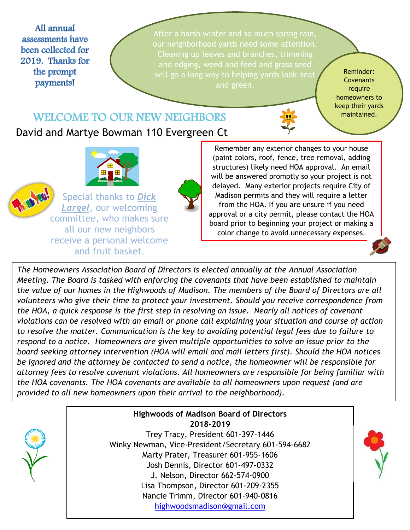All annual assessments have been collected for 2019. Thanks for the prompt payments!

After a harsh winter and so much spring rain, Cleaning up leaves and branches, trimming and edging, weed and feed and grass seed and green.

Reminder: **Covenants** require homeowners to keep their yards maintained.

#### WELCOME TO OUR NEW NEIGHBORS

David and Martye Bowman 110 Evergreen Ct



Special thanks to *Dick Largel*, our welcoming committee, who makes sure all our new neighbors receive a personal welcome and fruit basket.



Remember any exte[rior](http://www.dailyclipart.net/clipart/category/flower-clip-art/) changes to your house (paint colors, roof, f[ence](http://www.dailyclipart.net/clipart/category/flower-clip-art/), tree removal, adding structures) likely nee[d H](http://www.dailyclipart.net/clipart/category/flower-clip-art/)OA approval. An email will be answered promptly so your project is not delayed. Many exterior projects require City of Madison permits and they will require a letter from the HOA. If you are unsure if you need approval or a city permit, please contact the HOA board prior to beginning your project or making a color change to avoid unnecessary expenses.



*The Homeowners Association Board of Directors is elected annually at the Annual Association Meeting. The Board is tasked with enforcing the covenants that have been established to maintain the value of our homes in the Highwoods of Madison. The members of the Board of Directors are all volunteers who give their time to protect your investment. Should you r[ecei](https://creativecommons.org/licenses/by-nd/3.0/)ve correspondence from the HOA, a quick response is the first step in resolving an issue. Nearly [all n](https://creativecommons.org/licenses/by-nd/3.0/)otices of covenant violations can be resolved with an email or phone call explaining your si[tuat](https://creativecommons.org/licenses/by-nd/3.0/)ion and course of action to resolve the matter. Communication is the key to avoiding potential legal fees due to failure to respond to a notice. Homeowners are given multiple opportunities to solve an issue prior to the board seeking attorney intervention (HOA will email and mail letters first). Should the HOA noti[ces](https://creativecommons.org/licenses/by-nc-sa/3.0/)  be ignored and the attorney be contacted to send a notice, the homeowner will be responsible for attorney fees to resolve covenant violations. All homeowners are responsible for being familiar with the HOA covenants. The HOA covenants are available to all homeowners upon request (and are provided to all new homeowners upon their arrival to the neighborhood).*



**Highwoods of Madison Board of Directors 2018-2019** Trey Tracy, President 601-397-1446 Winky Newman, Vice-President/Secretary 601-594-6682 Marty Prater, Treasurer 601-955-1606 Josh Dennis, Director 601-497-0332 J. Nelson, Director 662-574-0900 Lisa Thompson, Director 601-209-2355 Nancie Trimm, Director 601-940-0816 [highwoodsmadison@gmail.com](mailto:highwoodsmadison@gmail.com)

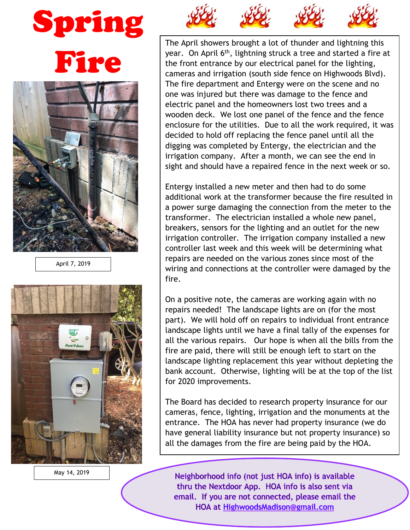# Spring Fire



April 7, 2019



May 14, 2019



The A[pril show](http://unsuckdcmetro.blogspot.com/2012_05_01_archive.html)ers br[ought a lo](http://unsuckdcmetro.blogspot.com/2012_05_01_archive.html)t of t[hunder a](http://unsuckdcmetro.blogspot.com/2012_05_01_archive.html)nd lig[htning](http://unsuckdcmetro.blogspot.com/2012_05_01_archive.html) this year. On April 6<sup>th</sup>, lightning struck a tree and started a fire at the front entrance by our electrical panel for the lighting, cameras a[nd ir](https://creativecommons.org/licenses/by-nc/3.0/)rigation (s[outh](https://creativecommons.org/licenses/by-nc/3.0/) side fence [on H](https://creativecommons.org/licenses/by-nc/3.0/)ighwoods [Blvd](https://creativecommons.org/licenses/by-nc/3.0/)). The fi[re dep](https://creativecommons.org/licenses/by-nc/3.0/)artment [and E](https://creativecommons.org/licenses/by-nc/3.0/)ntergy w[ere on](https://creativecommons.org/licenses/by-nc/3.0/) the sce[ne and](https://creativecommons.org/licenses/by-nc/3.0/) no one was injured but there was damage to the fence and electric panel and the homeowners lost two trees and a wooden deck. We lost one panel of the fence and the fence enclosure for the utilities. Due to all the work required, it was decided to hold off replacing the fence panel until all the digging was completed by Entergy, the electrician and the irrigation company. After a month, we can see the end in sight and should have a repaired fence in the next week or so.

Entergy installed a new meter and then had to do some additional work at the transformer because the fire resulted in a power surge damaging the connection from the meter to the transformer. The electrician installed a whole new panel, breakers, sensors for the lighting and an outlet for the new irrigation controller. The irrigation company installed a new controller last week and this week will be determining what repairs are needed on the various zones since most of the wiring and connections at the controller were damaged by the fire.

On a positive note, the cameras are working again with no repairs needed! The landscape lights are on (for the most part). We will hold off on repairs to individual front entrance landscape lights until we have a final tally of the expenses for all the various repairs. Our hope is when all the bills from the fire are paid, there will still be enough left to start on the landscape lighting replacement this year without depleting the bank account. Otherwise, lighting will be at the top of the list for 2020 improvements.

The Board has decided to research property insurance for our cameras, fence, lighting, irrigation and the monuments at the entrance. The HOA has never had property insurance (we do have general liability insurance but not property insurance) so all the damages from the fire are being paid by the HOA.

Neighborhood info (not just HOA info) is available thru the Nextdoor App. HOA info is also sent via email. If you are not connected, please email the HOA at HighwoodsMadison@gmail.com